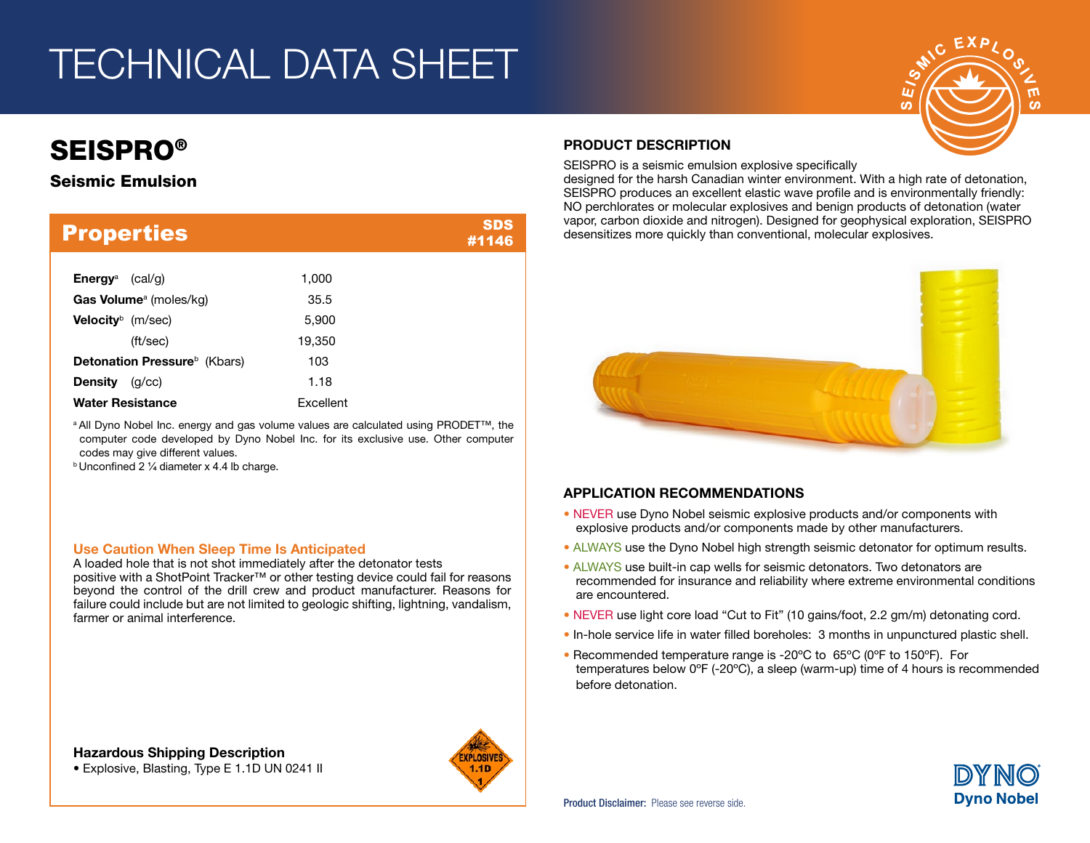# TECHNICAL DATA SHEET

# **SEISPRO®**

# Seismic Emulsion

| <b>Properties</b>                               |           | SDS<br>#1146 |
|-------------------------------------------------|-----------|--------------|
| Energy <sup>a</sup><br>(cal/g)                  | 1,000     |              |
| <b>Gas Volume</b> <sup>a</sup> (moles/kg)       | 35.5      |              |
| <b>Velocity</b> $(m/sec)$                       | 5,900     |              |
| (ft/sec)                                        | 19,350    |              |
| <b>Detonation Pressure</b> <sup>b</sup> (Kbars) | 103       |              |
| <b>Density</b><br>(q/cc)                        | 1.18      |              |
| <b>Water Resistance</b>                         | Excellent |              |

a All Dyno Nobel Inc. energy and gas volume values are calculated using PRODET™, the computer code developed by Dyno Nobel Inc. for its exclusive use. Other computer codes may give different values.

 $b$  Unconfined 2  $\frac{1}{4}$  diameter x 4.4 lb charge.

#### Use Caution When Sleep Time Is Anticipated

A loaded hole that is not shot immediately after the detonator tests positive with a ShotPoint Tracker™ or other testing device could fail for reasons beyond the control of the drill crew and product manufacturer. Reasons for failure could include but are not limited to geologic shifting, lightning, vandalism, farmer or animal interference.

• Explosive, Blasting, Type E 1.1D UN 0241 II



### PRODUCT DESCRIPTION

SEISPRO is a seismic emulsion explosive specifically

designed for the harsh Canadian winter environment. With a high rate of detonation, SEISPRO produces an excellent elastic wave profile and is environmentally friendly: NO perchlorates or molecular explosives and benign products of detonation (water vapor, carbon dioxide and nitrogen). Designed for geophysical exploration, SEISPRO desensitizes more quickly than conventional, molecular explosives.



### APPLICATION RECOMMENDATIONS

- NEVER use Dyno Nobel seismic explosive products and/or components with explosive products and/or components made by other manufacturers.
- ALWAYS use the Dyno Nobel high strength seismic detonator for optimum results.
- ALWAYS use built-in cap wells for seismic detonators. Two detonators are recommended for insurance and reliability where extreme environmental conditions are encountered.
- NEVER use light core load "Cut to Fit" (10 gains/foot, 2.2 gm/m) detonating cord.
- In-hole service life in water filled boreholes: 3 months in unpunctured plastic shell.
- Recommended temperature range is -20ºC to 65ºC (0ºF to 150ºF). For temperatures below 0ºF (-20ºC), a sleep (warm-up) time of 4 hours is recommended before detonation.



ĆΩ